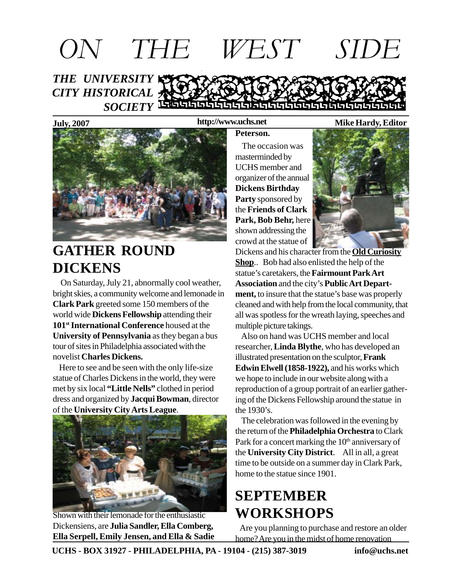# *THE UNIVERSITY CITY HISTORICAL* SOCIETY<sup></sup> LEGISLE LEGISLE LEGISLE LEGISLE LEGISLE *ON THE WEST SIDE*

**July, 2007 Mike Hardy, Editor http://www.uchs.net**

# **GATHER ROUND DICKENS**

 On Saturday, July 21, abnormally cool weather, bright skies, a community welcome and lemonade in **Clark Park** greeted some 150 members of the world wide **Dickens Fellowship** attending their **101st International Conference** housed at the **University of Pennsylvania** as they began a bus tour of sites in Philadelphia associated with the novelist **Charles Dickens.**

 Here to see and be seen with the only life-size statue of Charles Dickens in the world, they were met by six local **"Little Nells"** clothed in period dress and organized by **Jacqui Bowman**, director of the **University City Arts League**.



Shown with their lemonade for the enthusiastic Dickensiens, are **Julia Sandler, Ella Comberg, Ella Serpell, Emily Jensen, and Ella & Sadie**

### **Peterson.**

 The occasion was masterminded by UCHS member and organizer of the annual **Dickens Birthday Party** sponsored by the **Friends of Clark Park, Bob Behr,** here shown addressing the crowd at the statue of



Dickens and his character from the **Old Curiosity Shop**.. Bob had also enlisted the help of the statue's caretakers, the **Fairmount Park Art Association** and the city's **Public Art Department,** to insure that the statue's base was properly cleaned and with help from the local community, that all was spotless for the wreath laying, speeches and multiple picture takings.

 Also on hand was UCHS member and local researcher, **Linda Blythe**, who has developed an illustrated presentation on the sculptor, **Frank Edwin Elwell (1858-1922),** and his works which we hope to include in our website along with a reproduction of a group portrait of an earlier gathering of the Dickens Fellowship around the statue in the 1930's.

 The celebration was followed in the evening by the return of the **Philadelphia Orchestra** to Clark Park for a concert marking the 10<sup>th</sup> anniversary of the **University City District**. All in all, a great time to be outside on a summer day in Clark Park, home to the statue since 1901.

# **SEPTEMBER WORKSHOPS**

Are you planning to purchase and restore an older home? Are you in the midst of home renovation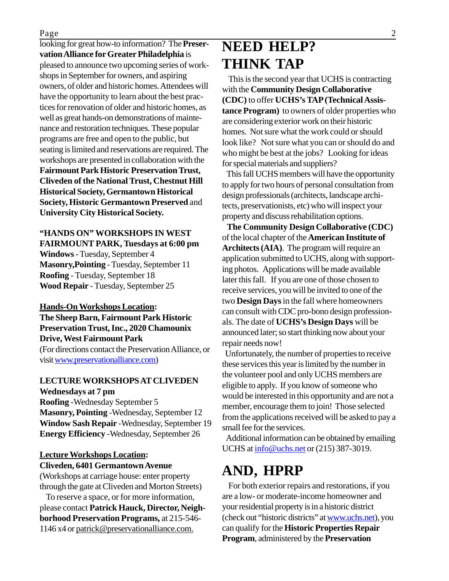looking for great how-to information? The **Preservation Alliance for Greater Philadelphia** is pleased to announce two upcoming series of workshops in September for owners, and aspiring owners, of older and historic homes. Attendees will have the opportunity to learn about the best practices for renovation of older and historic homes, as well as great hands-on demonstrations of maintenance and restoration techniques. These popular programs are free and open to the public, but seating is limited and reservations are required. The workshops are presented in collaboration with the **Fairmount Park Historic Preservation Trust, Cliveden of the National Trust, Chestnut Hill Historical Society, Germantown Historical Society, Historic Germantown Preserved** and **University City Historical Society.**

#### **"HANDS ON" WORKSHOPS IN WEST FAIRMOUNT PARK, Tuesdays at 6:00 pm**

**Windows** - Tuesday, September 4 **Masonry,Pointing** - Tuesday, September 11 **Roofing** - Tuesday, September 18 **Wood Repair** - Tuesday, September 25

### **Hands-On Workshops Location: The Sheep Barn, Fairmount Park Historic Preservation Trust, Inc., 2020 Chamounix Drive, West Fairmount Park** (For directions contact the Preservation Alliance, or visit www.preservationalliance.com)

### **LECTURE WORKSHOPS AT CLIVEDEN Wednesdays at 7 pm**

**Roofing** -Wednesday September 5 **Masonry, Pointing** -Wednesday, September 12 **Window Sash Repair** -Wednesday, September 19 **Energy Efficiency** -Wednesday, September 26

#### **Lecture Workshops Location: Cliveden, 6401 Germantown Avenue**

(Workshops at carriage house: enter property through the gate at Cliveden and Morton Streets)

 To reserve a space, or for more information, please contact **Patrick Hauck, Director, Neighborhood Preservation Programs,** at 215-546- 1146 x4 or patrick@preservationalliance.com.

# **NEED HELP? THINK TAP**

 This is the second year that UCHS is contracting with the **Community Design Collaborative (CDC)** to offer **UCHS's TAP (Technical Assistance Program)** to owners of older properties who are considering exterior work on their historic homes. Not sure what the work could or should look like? Not sure what you can or should do and who might be best at the jobs? Looking for ideas for special materials and suppliers?

 This fall UCHS members will have the opportunity to apply for two hours of personal consultation from design professionals (architects, landscape architects, preservationists, etc) who will inspect your property and discuss rehabilitation options.

 **The Community Design Collaborative (CDC)** of the local chapter of the **American Institute of Architects (AIA)**. The program will require an application submitted to UCHS, along with supporting photos. Applications will be made available later this fall. If you are one of those chosen to receive services, you will be invited to one of the two **Design Days** in the fall where homeowners can consult with CDC pro-bono design professionals. The date of **UCHS's Design Days** will be announced later; so start thinking now about your repair needs now!

 Unfortunately, the number of properties to receive these services this year is limited by the number in the volunteer pool and only UCHS members are eligible to apply. If you know of someone who would be interested in this opportunity and are not a member, encourage them to join! Those selected from the applications received will be asked to pay a small fee for the services.

 Additional information can be obtained by emailing UCHS at info@uchs.net or (215) 387-3019.

# **AND, HPRP**

 For both exterior repairs and restorations, if you are a low- or moderate-income homeowner and your residential property is in a historic district (check out "historic districts" at www.uchs.net), you can qualify for the **Historic Properties Repair Program**, administered by the **Preservation**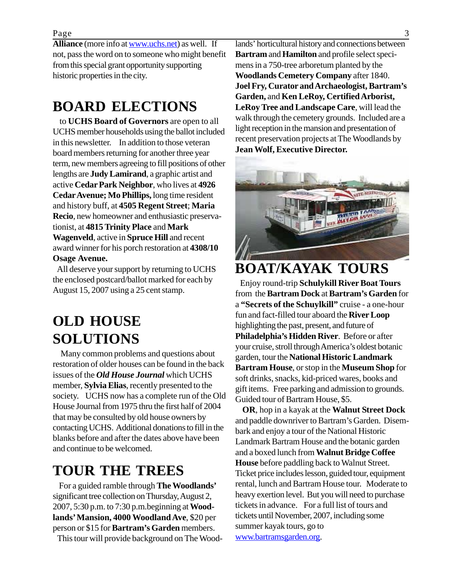**Alliance** (more info at www.uchs.net) as well. If not, pass the word on to someone who might benefit from this special grant opportunity supporting historic properties in the city.

# **BOARD ELECTIONS**

 to **UCHS Board of Governors** are open to all UCHS member households using the ballot included in this newsletter. In addition to those veteran board members returning for another three year term, new members agreeing to fill positions of other lengths are **Judy Lamirand**, a graphic artist and active **Cedar Park Neighbor**, who lives at **4926 Cedar Avenue; Mo Phillips,** long time resident and history buff, at **4505 Regent Street**; **Maria Recio**, new homeowner and enthusiastic preservationist, at **4815 Trinity Place** and **Mark Wagenveld**, active in **Spruce Hill** and recent award winner for his porch restoration at **4308/10 Osage Avenue.**

 All deserve your support by returning to UCHS the enclosed postcard/ballot marked for each by August 15, 2007 using a 25 cent stamp.

# **OLD HOUSE SOLUTIONS**

 Many common problems and questions about restoration of older houses can be found in the back issues of the *Old House Journal* which UCHS member, **Sylvia Elias**, recently presented to the society. UCHS now has a complete run of the Old House Journal from 1975 thru the first half of 2004 that may be consulted by old house owners by contacting UCHS. Additional donations to fill in the blanks before and after the dates above have been and continue to be welcomed.

## **TOUR THE TREES**

 For a guided ramble through **The Woodlands'** significant tree collection on Thursday, August 2, 2007, 5:30 p.m. to 7:30 p.m.beginning at **Woodlands' Mansion, 4000 Woodland Ave**, \$20 per person or \$15 for **Bartram's Garden** members.

This tour will provide background on The Wood-

lands' horticultural history and connections between **Bartram** and **Hamilton** and profile select specimens in a 750-tree arboretum planted by the **Woodlands Cemetery Company** after 1840. **Joel Fry, Curator and Archaeologist, Bartram's Garden,** and **Ken LeRoy, Certified Arborist, LeRoy Tree and Landscape Care**, will lead the walk through the cemetery grounds. Included are a light reception in the mansion and presentation of recent preservation projects at The Woodlands by **Jean Wolf, Executive Director.**



### **BOAT/KAYAK TOURS**

 Enjoy round-trip **Schulykill River Boat Tours** from the **Bartram Dock** at **Bartram's Garden** for a **"Secrets of the Schuylkill"** cruise - a one-hour fun and fact-filled tour aboard the **River Loop** highlighting the past, present, and future of **Philadelphia's Hidden River**. Before or after your cruise, stroll through America's oldest botanic garden, tour the **National Historic Landmark Bartram House**, or stop in the **Museum Shop** for soft drinks, snacks, kid-priced wares, books and gift items. Free parking and admission to grounds. Guided tour of Bartram House, \$5.

 **OR**, hop in a kayak at the **Walnut Street Dock** and paddle downriver to Bartram's Garden. Disembark and enjoy a tour of the National Historic Landmark Bartram House and the botanic garden and a boxed lunch from **Walnut Bridge Coffee House** before paddling back to Walnut Street. Ticket price includes lesson, guided tour, equipment rental, lunch and Bartram House tour. Moderate to heavy exertion level. But you will need to purchase tickets in advance. For a full list of tours and tickets until November, 2007, including some summer kayak tours, go to www.bartramsgarden.org.